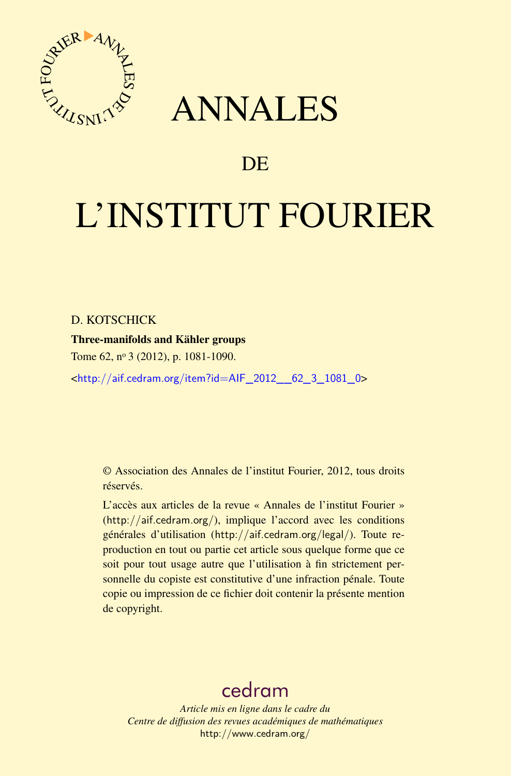

## ANNALES

### **DE**

# L'INSTITUT FOURIER

#### D. KOTSCHICK

#### Three-manifolds and Kähler groups

Tome 62, nº 3 (2012), p. 1081-1090.

<[http://aif.cedram.org/item?id=AIF\\_2012\\_\\_62\\_3\\_1081\\_0](http://aif.cedram.org/item?id=AIF_2012__62_3_1081_0)>

© Association des Annales de l'institut Fourier, 2012, tous droits réservés.

L'accès aux articles de la revue « Annales de l'institut Fourier » (<http://aif.cedram.org/>), implique l'accord avec les conditions générales d'utilisation (<http://aif.cedram.org/legal/>). Toute reproduction en tout ou partie cet article sous quelque forme que ce soit pour tout usage autre que l'utilisation à fin strictement personnelle du copiste est constitutive d'une infraction pénale. Toute copie ou impression de ce fichier doit contenir la présente mention de copyright.

## [cedram](http://www.cedram.org/)

*Article mis en ligne dans le cadre du Centre de diffusion des revues académiques de mathématiques* <http://www.cedram.org/>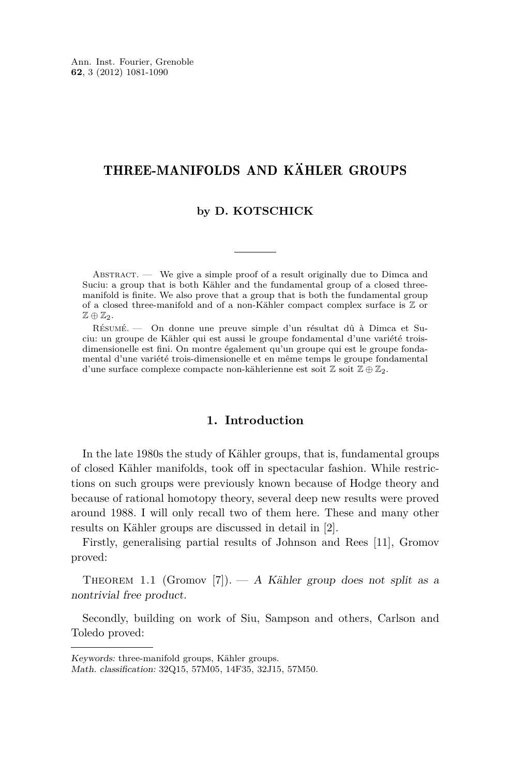#### <span id="page-1-0"></span>THREE-MANIFOLDS AND KÄHLER GROUPS

#### **by D. KOTSCHICK**

ABSTRACT. — We give a simple proof of a result originally due to Dimca and Suciu: a group that is both Kähler and the fundamental group of a closed threemanifold is finite. We also prove that a group that is both the fundamental group of a closed three-manifold and of a non-Kähler compact complex surface is Z or  $\mathbb{Z} \oplus \mathbb{Z}$ .

Résumé. — On donne une preuve simple d'un résultat dû à Dimca et Suciu: un groupe de Kähler qui est aussi le groupe fondamental d'une variété troisdimensionelle est fini. On montre également qu'un groupe qui est le groupe fondamental d'une variété trois-dimensionelle et en même temps le groupe fondamental d'une surface complexe compacte non-kählerienne est soit  $\mathbb{Z}$  soit  $\mathbb{Z} \oplus \mathbb{Z}_2$ .

#### **1. Introduction**

In the late 1980s the study of Kähler groups, that is, fundamental groups of closed Kähler manifolds, took off in spectacular fashion. While restrictions on such groups were previously known because of Hodge theory and because of rational homotopy theory, several deep new results were proved around 1988. I will only recall two of them here. These and many other results on Kähler groups are discussed in detail in [\[2\]](#page-8-0).

Firstly, generalising partial results of Johnson and Rees [\[11\]](#page-9-0), Gromov proved:

THEOREM 1.1 (Gromov [\[7\]](#page-9-0)). — A Kähler group does not split as a nontrivial free product.

Secondly, building on work of Siu, Sampson and others, Carlson and Toledo proved:

Keywords: three-manifold groups, Kähler groups.

Math. classification: 32Q15, 57M05, 14F35, 32J15, 57M50.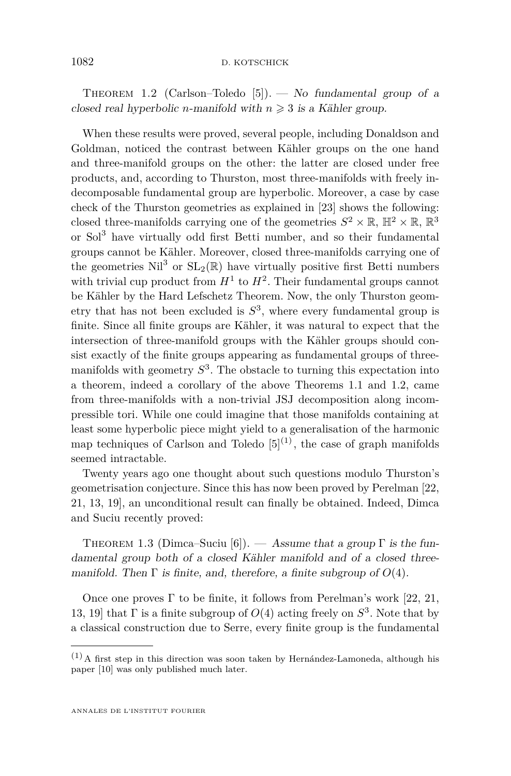<span id="page-2-0"></span>THEOREM 1.2 (Carlson–Toledo [\[5\]](#page-9-0)). — No fundamental group of a closed real hyperbolic *n*-manifold with  $n \geq 3$  is a Kähler group.

When these results were proved, several people, including Donaldson and Goldman, noticed the contrast between Kähler groups on the one hand and three-manifold groups on the other: the latter are closed under free products, and, according to Thurston, most three-manifolds with freely indecomposable fundamental group are hyperbolic. Moreover, a case by case check of the Thurston geometries as explained in [\[23\]](#page-9-0) shows the following: closed three-manifolds carrying one of the geometries  $S^2 \times \mathbb{R}$ ,  $\mathbb{H}^2 \times \mathbb{R}$ ,  $\mathbb{R}^3$ or Sol<sup>3</sup> have virtually odd first Betti number, and so their fundamental groups cannot be Kähler. Moreover, closed three-manifolds carrying one of the geometries  $\text{Nil}^3$  or  $\text{SL}_2(\mathbb{R})$  have virtually positive first Betti numbers with trivial cup product from  $H^1$  to  $H^2$ . Their fundamental groups cannot be Kähler by the Hard Lefschetz Theorem. Now, the only Thurston geometry that has not been excluded is *S* 3 , where every fundamental group is finite. Since all finite groups are Kähler, it was natural to expect that the intersection of three-manifold groups with the Kähler groups should consist exactly of the finite groups appearing as fundamental groups of threemanifolds with geometry *S* 3 . The obstacle to turning this expectation into a theorem, indeed a corollary of the above Theorems [1.1](#page-1-0) and 1.2, came from three-manifolds with a non-trivial JSJ decomposition along incompressible tori. While one could imagine that those manifolds containing at least some hyperbolic piece might yield to a generalisation of the harmonic map techniques of Carlson and Toledo  $[5]^{(1)}$  $[5]^{(1)}$ , the case of graph manifolds seemed intractable.

Twenty years ago one thought about such questions modulo Thurston's geometrisation conjecture. Since this has now been proved by Perelman [\[22,](#page-9-0) [21,](#page-9-0) [13,](#page-9-0) [19\]](#page-9-0), an unconditional result can finally be obtained. Indeed, Dimca and Suciu recently proved:

THEOREM 1.3 (Dimca–Suciu [\[6\]](#page-9-0)). — Assume that a group  $\Gamma$  is the fundamental group both of a closed Kähler manifold and of a closed threemanifold. Then  $\Gamma$  is finite, and, therefore, a finite subgroup of  $O(4)$ .

Once one proves  $\Gamma$  to be finite, it follows from Perelman's work [\[22,](#page-9-0) [21,](#page-9-0) [13,](#page-9-0) 19 that  $\Gamma$  is a finite subgroup of  $O(4)$  acting freely on  $S^3$ . Note that by a classical construction due to Serre, every finite group is the fundamental

 $(1)$  A first step in this direction was soon taken by Hernández-Lamoneda, although his paper [\[10\]](#page-9-0) was only published much later.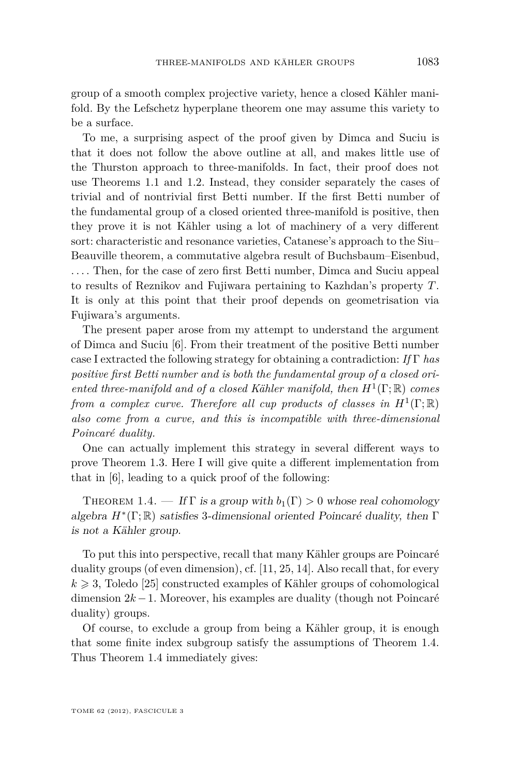<span id="page-3-0"></span>group of a smooth complex projective variety, hence a closed Kähler manifold. By the Lefschetz hyperplane theorem one may assume this variety to be a surface.

To me, a surprising aspect of the proof given by Dimca and Suciu is that it does not follow the above outline at all, and makes little use of the Thurston approach to three-manifolds. In fact, their proof does not use Theorems [1.1](#page-1-0) and [1.2.](#page-2-0) Instead, they consider separately the cases of trivial and of nontrivial first Betti number. If the first Betti number of the fundamental group of a closed oriented three-manifold is positive, then they prove it is not Kähler using a lot of machinery of a very different sort: characteristic and resonance varieties, Catanese's approach to the Siu– Beauville theorem, a commutative algebra result of Buchsbaum–Eisenbud, .... Then, for the case of zero first Betti number, Dimca and Suciu appeal to results of Reznikov and Fujiwara pertaining to Kazhdan's property *T*. It is only at this point that their proof depends on geometrisation via Fujiwara's arguments.

The present paper arose from my attempt to understand the argument of Dimca and Suciu [\[6\]](#page-9-0). From their treatment of the positive Betti number case I extracted the following strategy for obtaining a contradiction: *If* Γ *has positive first Betti number and is both the fundamental group of a closed oriented three-manifold and of a closed Kähler manifold, then H*<sup>1</sup> (Γ; R) *comes from a complex curve. Therefore all cup products of classes in*  $H^1(\Gamma;\mathbb{R})$ *also come from a curve, and this is incompatible with three-dimensional Poincaré duality.*

One can actually implement this strategy in several different ways to prove Theorem [1.3.](#page-2-0) Here I will give quite a different implementation from that in [\[6\]](#page-9-0), leading to a quick proof of the following:

THEOREM 1.4. — If  $\Gamma$  is a group with  $b_1(\Gamma) > 0$  whose real cohomology algebra *H*<sup>∗</sup> (Γ; R) satisfies 3-dimensional oriented Poincaré duality, then Γ is not a Kähler group.

To put this into perspective, recall that many Kähler groups are Poincaré duality groups (of even dimension), cf. [\[11,](#page-9-0) [25,](#page-9-0) [14\]](#page-9-0). Also recall that, for every  $k \geq 3$ , Toledo [\[25\]](#page-9-0) constructed examples of Kähler groups of cohomological dimension 2*k* −1. Moreover, his examples are duality (though not Poincaré duality) groups.

Of course, to exclude a group from being a Kähler group, it is enough that some finite index subgroup satisfy the assumptions of Theorem 1.4. Thus Theorem 1.4 immediately gives: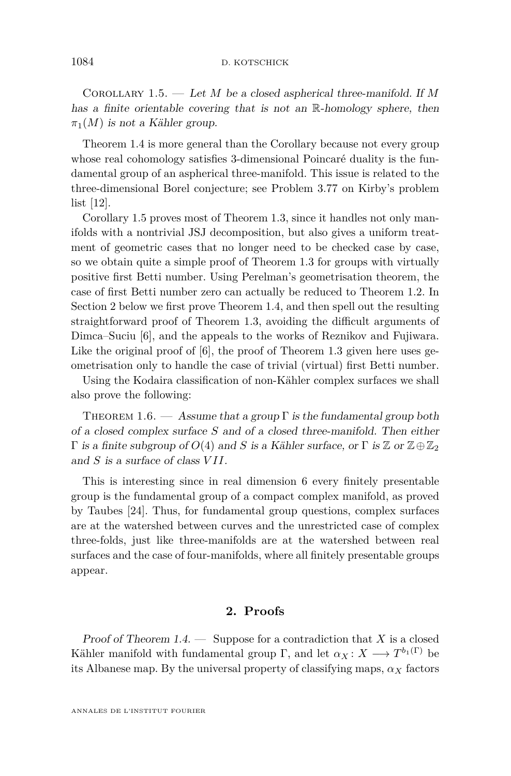<span id="page-4-0"></span>Corollary 1.5. — Let *M* be a closed aspherical three-manifold. If *M* has a finite orientable covering that is not an R-homology sphere, then  $\pi_1(M)$  is not a Kähler group.

Theorem [1.4](#page-3-0) is more general than the Corollary because not every group whose real cohomology satisfies 3-dimensional Poincaré duality is the fundamental group of an aspherical three-manifold. This issue is related to the three-dimensional Borel conjecture; see Problem 3.77 on Kirby's problem list [\[12\]](#page-9-0).

Corollary 1.5 proves most of Theorem [1.3,](#page-2-0) since it handles not only manifolds with a nontrivial JSJ decomposition, but also gives a uniform treatment of geometric cases that no longer need to be checked case by case, so we obtain quite a simple proof of Theorem [1.3](#page-2-0) for groups with virtually positive first Betti number. Using Perelman's geometrisation theorem, the case of first Betti number zero can actually be reduced to Theorem [1.2.](#page-2-0) In Section 2 below we first prove Theorem [1.4,](#page-3-0) and then spell out the resulting straightforward proof of Theorem [1.3,](#page-2-0) avoiding the difficult arguments of Dimca–Suciu [\[6\]](#page-9-0), and the appeals to the works of Reznikov and Fujiwara. Like the original proof of [\[6\]](#page-9-0), the proof of Theorem [1.3](#page-2-0) given here uses geometrisation only to handle the case of trivial (virtual) first Betti number.

Using the Kodaira classification of non-Kähler complex surfaces we shall also prove the following:

THEOREM 1.6. — Assume that a group  $\Gamma$  is the fundamental group both of a closed complex surface *S* and of a closed three-manifold. Then either Γ is a finite subgroup of  $O(4)$  and *S* is a Kähler surface, or Γ is  $\mathbb{Z}$  or  $\mathbb{Z} \oplus \mathbb{Z}_2$ and *S* is a surface of class *V II*.

This is interesting since in real dimension 6 every finitely presentable group is the fundamental group of a compact complex manifold, as proved by Taubes [\[24\]](#page-9-0). Thus, for fundamental group questions, complex surfaces are at the watershed between curves and the unrestricted case of complex three-folds, just like three-manifolds are at the watershed between real surfaces and the case of four-manifolds, where all finitely presentable groups appear.

#### **2. Proofs**

Proof of Theorem [1.4.](#page-3-0) — Suppose for a contradiction that *X* is a closed Kähler manifold with fundamental group  $\Gamma$ , and let  $\alpha_X \colon X \longrightarrow T^{b_1(\Gamma)}$  be its Albanese map. By the universal property of classifying maps,  $\alpha_X$  factors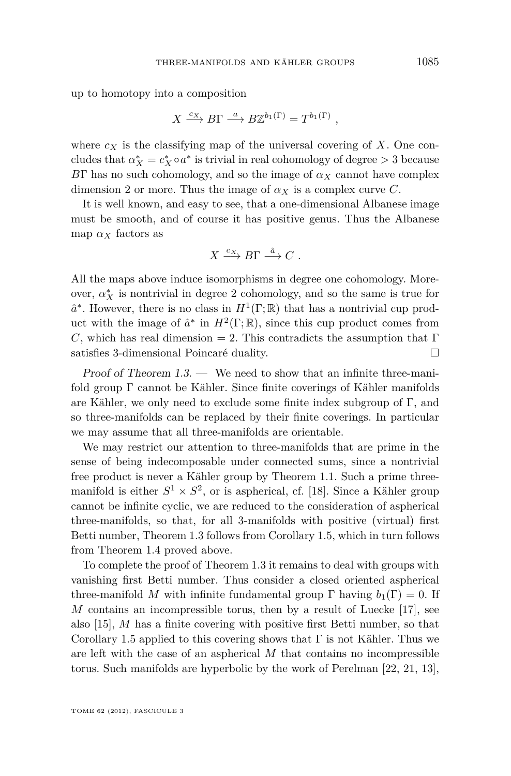up to homotopy into a composition

$$
X \xrightarrow{c_X} B\Gamma \xrightarrow{a} B\mathbb{Z}^{b_1(\Gamma)} = T^{b_1(\Gamma)},
$$

where  $c_X$  is the classifying map of the universal covering of X. One concludes that  $\alpha_X^* = c_X^* \circ a^*$  is trivial in real cohomology of degree  $> 3$  because *B*Γ has no such cohomology, and so the image of  $\alpha_X$  cannot have complex dimension 2 or more. Thus the image of  $\alpha_X$  is a complex curve *C*.

It is well known, and easy to see, that a one-dimensional Albanese image must be smooth, and of course it has positive genus. Thus the Albanese map  $\alpha_X$  factors as

$$
X \xrightarrow{c_X} B\Gamma \xrightarrow{\hat{a}} C.
$$

All the maps above induce isomorphisms in degree one cohomology. Moreover,  $\alpha^*_X$  is nontrivial in degree 2 cohomology, and so the same is true for  $\hat{a}^*$ . However, there is no class in  $H^1(\Gamma;\mathbb{R})$  that has a nontrivial cup product with the image of  $\hat{a}^*$  in  $H^2(\Gamma;\mathbb{R})$ , since this cup product comes from *C*, which has real dimension = 2. This contradicts the assumption that  $\Gamma$ satisfies 3-dimensional Poincaré duality.

Proof of Theorem [1.3.](#page-2-0) — We need to show that an infinite three-manifold group Γ cannot be Kähler. Since finite coverings of Kähler manifolds are Kähler, we only need to exclude some finite index subgroup of Γ, and so three-manifolds can be replaced by their finite coverings. In particular we may assume that all three-manifolds are orientable.

We may restrict our attention to three-manifolds that are prime in the sense of being indecomposable under connected sums, since a nontrivial free product is never a Kähler group by Theorem [1.1.](#page-1-0) Such a prime threemanifold is either  $S^1 \times S^2$ , or is aspherical, cf. [\[18\]](#page-9-0). Since a Kähler group cannot be infinite cyclic, we are reduced to the consideration of aspherical three-manifolds, so that, for all 3-manifolds with positive (virtual) first Betti number, Theorem [1.3](#page-2-0) follows from Corollary [1.5,](#page-4-0) which in turn follows from Theorem [1.4](#page-3-0) proved above.

To complete the proof of Theorem [1.3](#page-2-0) it remains to deal with groups with vanishing first Betti number. Thus consider a closed oriented aspherical three-manifold *M* with infinite fundamental group  $\Gamma$  having  $b_1(\Gamma) = 0$ . If *M* contains an incompressible torus, then by a result of Luecke [\[17\]](#page-9-0), see also [\[15\]](#page-9-0), *M* has a finite covering with positive first Betti number, so that Corollary [1.5](#page-4-0) applied to this covering shows that  $\Gamma$  is not Kähler. Thus we are left with the case of an aspherical *M* that contains no incompressible torus. Such manifolds are hyperbolic by the work of Perelman [\[22,](#page-9-0) [21,](#page-9-0) [13\]](#page-9-0),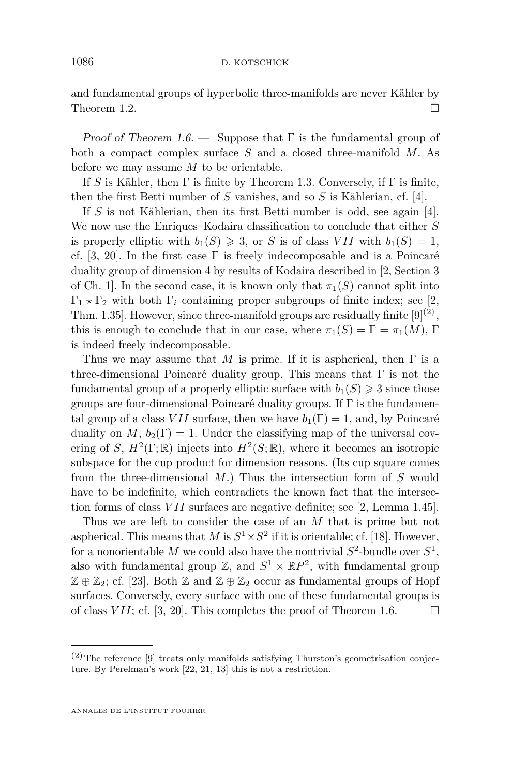and fundamental groups of hyperbolic three-manifolds are never Kähler by Theorem [1.2.](#page-2-0)  $\Box$ 

Proof of Theorem [1.6.](#page-4-0) — Suppose that  $\Gamma$  is the fundamental group of both a compact complex surface *S* and a closed three-manifold *M*. As before we may assume *M* to be orientable.

If *S* is Kähler, then  $\Gamma$  is finite by Theorem [1.3.](#page-2-0) Conversely, if  $\Gamma$  is finite, then the first Betti number of *S* vanishes, and so *S* is Kählerian, cf. [\[4\]](#page-9-0).

If *S* is not Kählerian, then its first Betti number is odd, see again [\[4\]](#page-9-0). We now use the Enriques–Kodaira classification to conclude that either *S* is properly elliptic with  $b_1(S) \geq 3$ , or *S* is of class *VII* with  $b_1(S) = 1$ , cf. [\[3,](#page-8-0) [20\]](#page-9-0). In the first case  $\Gamma$  is freely indecomposable and is a Poincaré duality group of dimension 4 by results of Kodaira described in [\[2,](#page-8-0) Section 3 of Ch. 1. In the second case, it is known only that  $\pi_1(S)$  cannot split into  $\Gamma_1 \star \Gamma_2$  with both  $\Gamma_i$  containing proper subgroups of finite index; see [\[2,](#page-8-0) Thm. 1.35]. However, since three-manifold groups are residually finite  $[9]^{(2)}$  $[9]^{(2)}$ , this is enough to conclude that in our case, where  $\pi_1(S) = \Gamma = \pi_1(M)$ ,  $\Gamma$ is indeed freely indecomposable.

Thus we may assume that *M* is prime. If it is aspherical, then  $\Gamma$  is a three-dimensional Poincaré duality group. This means that  $\Gamma$  is not the fundamental group of a properly elliptic surface with  $b_1(S) \geq 3$  since those groups are four-dimensional Poincaré duality groups. If Γ is the fundamental group of a class *VII* surface, then we have  $b_1(\Gamma) = 1$ , and, by Poincaré duality on *M*,  $b_2(\Gamma) = 1$ . Under the classifying map of the universal covering of *S*,  $H^2(\Gamma;\mathbb{R})$  injects into  $H^2(S;\mathbb{R})$ , where it becomes an isotropic subspace for the cup product for dimension reasons. (Its cup square comes from the three-dimensional *M*.) Thus the intersection form of *S* would have to be indefinite, which contradicts the known fact that the intersection forms of class *V II* surfaces are negative definite; see [\[2,](#page-8-0) Lemma 1.45].

Thus we are left to consider the case of an *M* that is prime but not aspherical. This means that *M* is  $S^1 \times S^2$  if it is orientable; cf. [\[18\]](#page-9-0). However, for a nonorientable  $M$  we could also have the nontrivial  $S^2$ -bundle over  $S^1$ , also with fundamental group  $\mathbb{Z}$ , and  $S^1 \times \mathbb{R}P^2$ , with fundamental group  $\mathbb{Z} \oplus \mathbb{Z}_2$ ; cf. [\[23\]](#page-9-0). Both  $\mathbb{Z}$  and  $\mathbb{Z} \oplus \mathbb{Z}_2$  occur as fundamental groups of Hopf surfaces. Conversely, every surface with one of these fundamental groups is of class *VII*; cf. [\[3,](#page-8-0) [20\]](#page-9-0). This completes the proof of Theorem [1.6.](#page-4-0)  $\Box$ 

 $(2)$  The reference [\[9\]](#page-9-0) treats only manifolds satisfying Thurston's geometrisation conjecture. By Perelman's work [\[22,](#page-9-0) [21,](#page-9-0) [13\]](#page-9-0) this is not a restriction.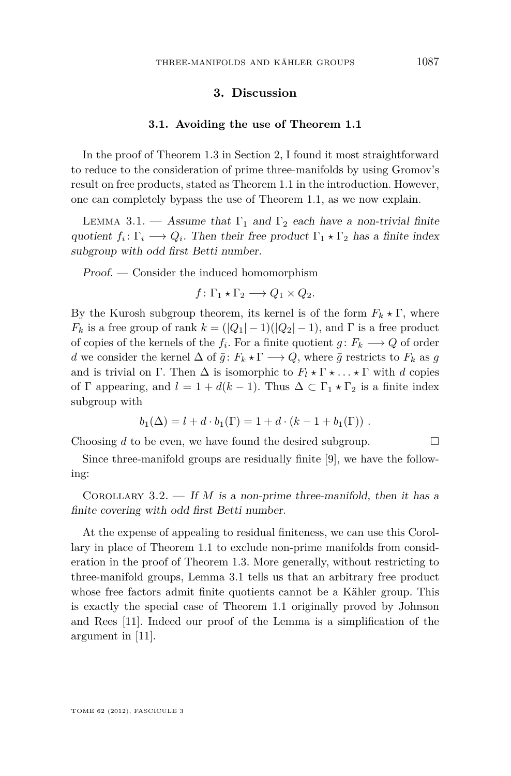#### **3. Discussion**

#### **3.1. Avoiding the use of Theorem [1.1](#page-1-0)**

In the proof of Theorem [1.3](#page-2-0) in Section [2,](#page-4-0) I found it most straightforward to reduce to the consideration of prime three-manifolds by using Gromov's result on free products, stated as Theorem [1.1](#page-1-0) in the introduction. However, one can completely bypass the use of Theorem [1.1,](#page-1-0) as we now explain.

LEMMA 3.1. — Assume that  $\Gamma_1$  and  $\Gamma_2$  each have a non-trivial finite quotient  $f_i: \Gamma_i \longrightarrow Q_i$ . Then their free product  $\Gamma_1 \star \Gamma_2$  has a finite index subgroup with odd first Betti number.

Proof. — Consider the induced homomorphism

$$
f\colon \Gamma_1 \star \Gamma_2 \longrightarrow Q_1 \times Q_2.
$$

By the Kurosh subgroup theorem, its kernel is of the form  $F_k \star \Gamma$ , where  $F_k$  is a free group of rank  $k = (|Q_1| - 1)(|Q_2| - 1)$ , and  $\Gamma$  is a free product of copies of the kernels of the  $f_i$ . For a finite quotient  $g: F_k \longrightarrow Q$  of order *d* we consider the kernel  $\Delta$  of  $\bar{g}: F_k \star \Gamma \longrightarrow Q$ , where  $\bar{g}$  restricts to  $F_k$  as  $g$ and is trivial on  $\Gamma$ . Then  $\Delta$  is isomorphic to  $F_l \star \Gamma \star \ldots \star \Gamma$  with *d* copies of  $\Gamma$  appearing, and  $l = 1 + d(k - 1)$ . Thus  $\Delta \subset \Gamma_1 \star \Gamma_2$  is a finite index subgroup with

$$
b_1(\Delta) = l + d \cdot b_1(\Gamma) = 1 + d \cdot (k - 1 + b_1(\Gamma)) \ .
$$

Choosing  $d$  to be even, we have found the desired subgroup.  $\Box$ 

Since three-manifold groups are residually finite [\[9\]](#page-9-0), we have the following:

COROLLARY 3.2. — If  $M$  is a non-prime three-manifold, then it has a finite covering with odd first Betti number.

At the expense of appealing to residual finiteness, we can use this Corollary in place of Theorem [1.1](#page-1-0) to exclude non-prime manifolds from consideration in the proof of Theorem [1.3.](#page-2-0) More generally, without restricting to three-manifold groups, Lemma 3.1 tells us that an arbitrary free product whose free factors admit finite quotients cannot be a Kähler group. This is exactly the special case of Theorem [1.1](#page-1-0) originally proved by Johnson and Rees [\[11\]](#page-9-0). Indeed our proof of the Lemma is a simplification of the argument in [\[11\]](#page-9-0).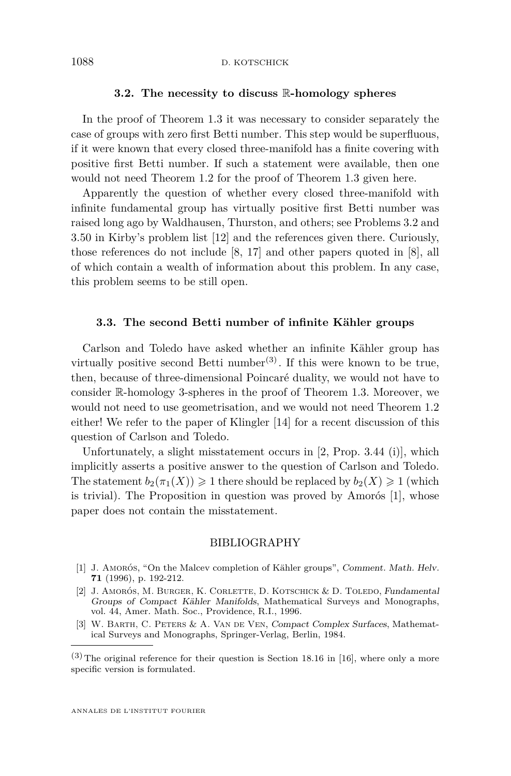#### **3.2. The necessity to discuss** R**-homology spheres**

<span id="page-8-0"></span>In the proof of Theorem [1.3](#page-2-0) it was necessary to consider separately the case of groups with zero first Betti number. This step would be superfluous, if it were known that every closed three-manifold has a finite covering with positive first Betti number. If such a statement were available, then one would not need Theorem [1.2](#page-2-0) for the proof of Theorem [1.3](#page-2-0) given here.

Apparently the question of whether every closed three-manifold with infinite fundamental group has virtually positive first Betti number was raised long ago by Waldhausen, Thurston, and others; see Problems 3.2 and 3.50 in Kirby's problem list [\[12\]](#page-9-0) and the references given there. Curiously, those references do not include [\[8,](#page-9-0) [17\]](#page-9-0) and other papers quoted in [\[8\]](#page-9-0), all of which contain a wealth of information about this problem. In any case, this problem seems to be still open.

#### **3.3. The second Betti number of infinite Kähler groups**

Carlson and Toledo have asked whether an infinite Kähler group has virtually positive second Betti number<sup>(3)</sup>. If this were known to be true, then, because of three-dimensional Poincaré duality, we would not have to consider R-homology 3-spheres in the proof of Theorem [1.3.](#page-2-0) Moreover, we would not need to use geometrisation, and we would not need Theorem [1.2](#page-2-0) either! We refer to the paper of Klingler [\[14\]](#page-9-0) for a recent discussion of this question of Carlson and Toledo.

Unfortunately, a slight misstatement occurs in [2, Prop. 3.44 (i)], which implicitly asserts a positive answer to the question of Carlson and Toledo. The statement  $b_2(\pi_1(X)) \geq 1$  there should be replaced by  $b_2(X) \geq 1$  (which is trivial). The Proposition in question was proved by Amorós [1], whose paper does not contain the misstatement.

#### BIBLIOGRAPHY

- [1] J. Amorós, "On the Malcev completion of Kähler groups", Comment. Math. Helv. **71** (1996), p. 192-212.
- [2] J. Amorós, M. Burger, K. Corlette, D. Kotschick & D. Toledo, Fundamental Groups of Compact Kähler Manifolds, Mathematical Surveys and Monographs, vol. 44, Amer. Math. Soc., Providence, R.I., 1996.
- [3] W. Barth, C. Peters & A. Van de Ven, Compact Complex Surfaces, Mathematical Surveys and Monographs, Springer-Verlag, Berlin, 1984.

 $(3)$  The original reference for their question is Section 18.16 in [\[16\]](#page-9-0), where only a more specific version is formulated.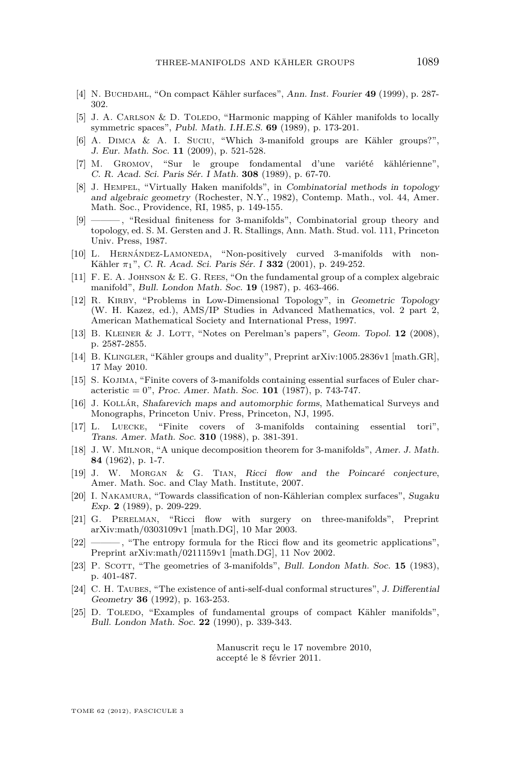- <span id="page-9-0"></span>[4] N. Buchdahl, "On compact Kähler surfaces", Ann. Inst. Fourier **49** (1999), p. 287- 302.
- [5] J. A. CARLSON & D. TOLEDO, "Harmonic mapping of Kähler manifolds to locally symmetric spaces", Publ. Math. I.H.E.S. **69** (1989), p. 173-201.
- [6] A. DIMCA & A. I. SUCIU, "Which 3-manifold groups are Kähler groups?", J. Eur. Math. Soc. **11** (2009), p. 521-528.
- [7] M. Gromov, "Sur le groupe fondamental d'une variété kählérienne", C. R. Acad. Sci. Paris Sér. I Math. **308** (1989), p. 67-70.
- [8] J. HEMPEL, "Virtually Haken manifolds", in Combinatorial methods in topology and algebraic geometry (Rochester, N.Y., 1982), Contemp. Math., vol. 44, Amer. Math. Soc., Providence, RI, 1985, p. 149-155.
- [9] ——— , "Residual finiteness for 3-manifolds", Combinatorial group theory and topology, ed. S. M. Gersten and J. R. Stallings, Ann. Math. Stud. vol. 111, Princeton Univ. Press, 1987.
- [10] L. Hernández-Lamoneda, "Non-positively curved 3-manifolds with non-Kähler *π*1", C. R. Acad. Sci. Paris Sér. I **332** (2001), p. 249-252.
- [11] F. E. A. Johnson & E. G. Rees, "On the fundamental group of a complex algebraic manifold", Bull. London Math. Soc. **19** (1987), p. 463-466.
- [12] R. KIRBY, "Problems in Low-Dimensional Topology", in Geometric Topology (W. H. Kazez, ed.), AMS/IP Studies in Advanced Mathematics, vol. 2 part 2, American Mathematical Society and International Press, 1997.
- [13] B. Kleiner & J. Lott, "Notes on Perelman's papers", Geom. Topol. **12** (2008), p. 2587-2855.
- [14] B. Klingler, "Kähler groups and duality", Preprint arXiv:1005.2836v1 [math.GR], 17 May 2010.
- [15] S. Kojima, "Finite covers of 3-manifolds containing essential surfaces of Euler characteristic = 0", Proc. Amer. Math. Soc. **101** (1987), p. 743-747.
- [16] J. Kollár, Shafarevich maps and automorphic forms, Mathematical Surveys and Monographs, Princeton Univ. Press, Princeton, NJ, 1995.
- [17] L. Luecke, "Finite covers of 3-manifolds containing essential tori", Trans. Amer. Math. Soc. **310** (1988), p. 381-391.
- [18] J. W. Milnor, "A unique decomposition theorem for 3-manifolds", Amer. J. Math. **84** (1962), p. 1-7.
- [19] J. W. Morgan & G. Tian, Ricci flow and the Poincaré conjecture, Amer. Math. Soc. and Clay Math. Institute, 2007.
- [20] I. Nakamura, "Towards classification of non-Kählerian complex surfaces", Sugaku Exp. **2** (1989), p. 209-229.
- [21] G. Perelman, "Ricci flow with surgery on three-manifolds", Preprint arXiv:math/0303109v1 [math.DG], 10 Mar 2003.
- [22] ——, "The entropy formula for the Ricci flow and its geometric applications", Preprint arXiv:math/0211159v1 [math.DG], 11 Nov 2002.
- [23] P. Scorr, "The geometries of 3-manifolds", Bull. London Math. Soc. **15** (1983), p. 401-487.
- [24] C. H. TAUBES, "The existence of anti-self-dual conformal structures", J. Differential Geometry **36** (1992), p. 163-253.
- [25] D. TOLEDO, "Examples of fundamental groups of compact Kähler manifolds", Bull. London Math. Soc. **22** (1990), p. 339-343.

Manuscrit reçu le 17 novembre 2010, accepté le 8 février 2011.